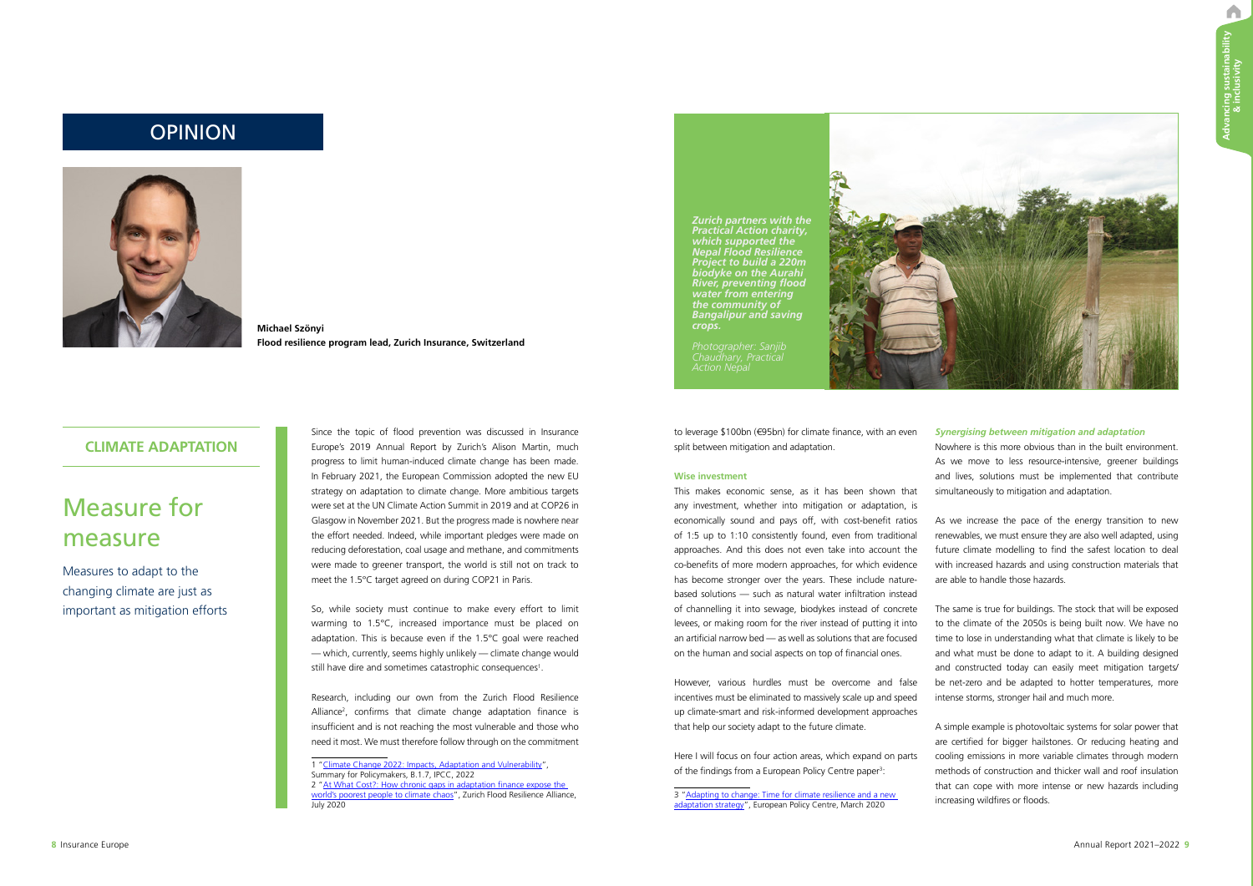A

# Measure for measure

Measures to adapt to the changing climate are just as important as mitigation efforts

## **CLIMATE ADAPTATION**

So, while society must continue to make every effort to limit warming to 1.5°C, increased importance must be placed on adaptation. This is because even if the 1.5°C goal were reached — which, currently, seems highly unlikely — climate change would still have dire and sometimes catastrophic consequences<sup>1</sup>.

Since the topic of flood prevention was discussed in Insurance Europe's 2019 Annual Report by Zurich's Alison Martin, much progress to limit human-induced climate change has been made. In February 2021, the European Commission adopted the new EU strategy on adaptation to climate change. More ambitious targets were set at the UN Climate Action Summit in 2019 and at COP26 in Glasgow in November 2021. But the progress made is nowhere near the effort needed. Indeed, while important pledges were made on reducing deforestation, coal usage and methane, and commitments were made to greener transport, the world is still not on track to meet the 1.5°C target agreed on during COP21 in Paris.

Research, including our own from the Zurich Flood Resilience Alliance<sup>2</sup>, confirms that climate change adaptation finance is insufficient and is not reaching the most vulnerable and those who need it most. We must therefore follow through on the commitment

> Here I will focus on four action areas, which expand on parts of the findings from a European Policy Centre paper<sup>3</sup>:

1 ["Climate Change 2022: Impacts, Adaptation and Vulnerability"](https://www.ipcc.ch/report/ar6/wg2/), Summary for Policymakers, B.1.7, IPCC, 2022 [2 "At What Cost?: How chronic gaps in adaptation finance expose the](https://floodresilience.net/resources/item/at-what-cost-how-chronic-gaps-in-adaptation-finance-expose-the-world-s-poorest-people-to-climate-chaos/) world's poorest people to climate chaos", Zurich Flood Resilience Alliance,

July 2020

As we increase the pace of the energy transition to new renewables, we must ensure they are also well adapted, using future climate modelling to find the safest location to deal with increased hazards and using construction materials that are able to handle those hazards.

to leverage \$100bn (€95bn) for climate finance, with an even split between mitigation and adaptation.

#### **Wise investment**

This makes economic sense, as it has been shown that any investment, whether into mitigation or adaptation, is economically sound and pays off, with cost-benefit ratios of 1:5 up to 1:10 consistently found, even from traditional approaches. And this does not even take into account the co-benefits of more modern approaches, for which evidence has become stronger over the years. These include naturebased solutions — such as natural water infiltration instead of channelling it into sewage, biodykes instead of concrete levees, or making room for the river instead of putting it into an artificial narrow bed — as well as solutions that are focused on the human and social aspects on top of financial ones.

However, various hurdles must be overcome and false incentives must be eliminated to massively scale up and speed up climate-smart and risk-informed development approaches that help our society adapt to the future climate.

[3 "Adapting to change: Time for climate resilience and a new](https://www.epc.eu/en/Publications/Adapting-to-change~2fce48)  adaptation strategy", European Policy Centre, March 2020



## *Synergising between mitigation and adaptation*

Nowhere is this more obvious than in the built environment. As we move to less resource-intensive, greener buildings and lives, solutions must be implemented that contribute simultaneously to mitigation and adaptation.

The same is true for buildings. The stock that will be exposed to the climate of the 2050s is being built now. We have no time to lose in understanding what that climate is likely to be and what must be done to adapt to it. A building designed and constructed today can easily meet mitigation targets/ be net-zero and be adapted to hotter temperatures, more intense storms, stronger hail and much more.

A simple example is photovoltaic systems for solar power that are certified for bigger hailstones. Or reducing heating and cooling emissions in more variable climates through modern methods of construction and thicker wall and roof insulation that can cope with more intense or new hazards including increasing wildfires or floods.

**Michael Szönyi Flood resilience program lead, Zurich Insurance, Switzerland**

# OPINION



*Zurich partners with the Practical Action charity, which supported the Nepal Flood Resilience Project to build a 220m biodyke on the Aurahi River, preventing flood water from entering the community of Bangalipur and saving crops.* 

*Action Nepal*